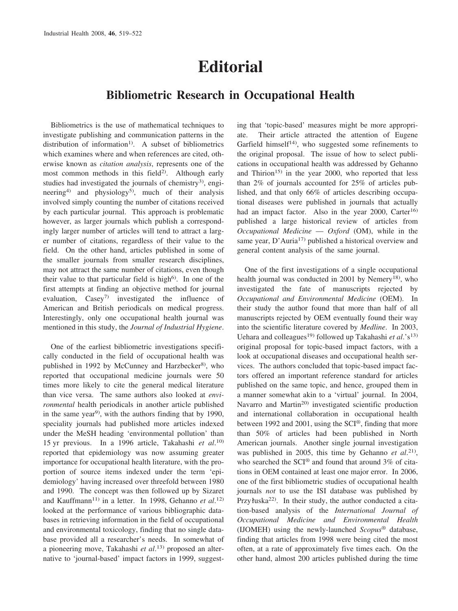## **Editorial**

## **Bibliometric Research in Occupational Health**

Bibliometrics is the use of mathematical techniques to investigate publishing and communication patterns in the distribution of information<sup>1)</sup>. A subset of bibliometrics which examines where and when references are cited, otherwise known as *citation analysis*, represents one of the most common methods in this field<sup>2)</sup>. Although early studies had investigated the journals of chemistry<sup>3)</sup>, engineering<sup>4)</sup> and physiology<sup>5)</sup>, much of their analysis involved simply counting the number of citations received by each particular journal. This approach is problematic however, as larger journals which publish a correspondingly larger number of articles will tend to attract a larger number of citations, regardless of their value to the field. On the other hand, articles published in some of the smaller journals from smaller research disciplines, may not attract the same number of citations, even though their value to that particular field is high<sup>6)</sup>. In one of the first attempts at finding an objective method for journal evaluation,  $\text{CaseV}^7$  investigated the influence of American and British periodicals on medical progress. Interestingly, only one occupational health journal was mentioned in this study, the *Journal of Industrial Hygiene*.

One of the earliest bibliometric investigations specifically conducted in the field of occupational health was published in 1992 by McCunney and Harzbecker<sup>8)</sup>, who reported that occupational medicine journals were 50 times more likely to cite the general medical literature than vice versa. The same authors also looked at *environmental* health periodicals in another article published in the same year<sup>9)</sup>, with the authors finding that by 1990, speciality journals had published more articles indexed under the MeSH heading 'environmental pollution' than 15 yr previous. In a 1996 article, Takahashi *et al*. 10) reported that epidemiology was now assuming greater importance for occupational health literature, with the proportion of source items indexed under the term 'epidemiology' having increased over threefold between 1980 and 1990. The concept was then followed up by Sizaret and Kauffmann<sup>11)</sup> in a letter. In 1998, Gehanno et al.<sup>12)</sup> looked at the performance of various bibliographic databases in retrieving information in the field of occupational and environmental toxicology, finding that no single database provided all a researcher's needs. In somewhat of a pioneering move, Takahashi *et al*. 13) proposed an alternative to 'journal-based' impact factors in 1999, suggesting that 'topic-based' measures might be more appropriate. Their article attracted the attention of Eugene Garfield himself<sup>14)</sup>, who suggested some refinements to the original proposal. The issue of how to select publications in occupational health was addressed by Gehanno and Thirion<sup>15)</sup> in the year 2000, who reported that less than 2% of journals accounted for 25% of articles published, and that only 66% of articles describing occupational diseases were published in journals that actually had an impact factor. Also in the year 2000, Carter<sup>16)</sup> published a large historical review of articles from *Occupational Medicine* — *Oxford* (OM), while in the same year, D'Auria<sup>17)</sup> published a historical overview and general content analysis of the same journal.

One of the first investigations of a single occupational health journal was conducted in 2001 by Nemery<sup>18</sup>, who investigated the fate of manuscripts rejected by *Occupational and Environmental Medicine* (OEM). In their study the author found that more than half of all manuscripts rejected by OEM eventually found their way into the scientific literature covered by *Medline*. In 2003, Uehara and colleagues<sup>19)</sup> followed up Takahashi *et al.*'s<sup>13)</sup> original proposal for topic-based impact factors, with a look at occupational diseases and occupational health services. The authors concluded that topic-based impact factors offered an important reference standard for articles published on the same topic, and hence, grouped them in a manner somewhat akin to a 'virtual' journal. In 2004, Navarro and Martin<sup>20)</sup> investigated scientific production and international collaboration in occupational health between 1992 and 2001, using the SCI®, finding that more than 50% of articles had been published in North American journals. Another single journal investigation was published in 2005, this time by Gehanno *et al*. 21), who searched the SCI<sup>®</sup> and found that around 3% of citations in OEM contained at least one major error. In 2006, one of the first bibliometric studies of occupational health journals *not* to use the ISI database was published by Przyłuska<sup>22)</sup>. In their study, the author conducted a citation-based analysis of the *International Journal of Occupational Medicine and Environmental Health* (IJOMEH) using the newly-launched *Scopus*® database, finding that articles from 1998 were being cited the most often, at a rate of approximately five times each. On the other hand, almost 200 articles published during the time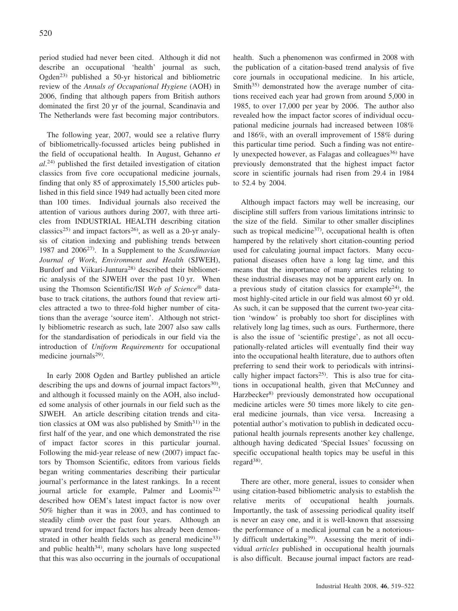period studied had never been cited. Although it did not describe an occupational 'health' journal as such, Ogden23) published a 50-yr historical and bibliometric review of the *Annals of Occupational Hygiene* (AOH) in 2006, finding that although papers from British authors dominated the first 20 yr of the journal, Scandinavia and The Netherlands were fast becoming major contributors.

The following year, 2007, would see a relative flurry of bibliometrically-focussed articles being published in the field of occupational health. In August, Gehanno *et al*. 24) published the first detailed investigation of citation classics from five core occupational medicine journals, finding that only 85 of approximately 15,500 articles published in this field since 1949 had actually been cited more than 100 times. Individual journals also received the attention of various authors during 2007, with three articles from INDUSTRIAL HEALTH describing citation classics<sup>25)</sup> and impact factors<sup>26)</sup>, as well as a 20-yr analysis of citation indexing and publishing trends between 1987 and 200627). In a Supplement to the *Scandinavian Journal of Work*, *Environment and Health* (SJWEH), Burdorf and Viikari-Juntura<sup>28)</sup> described their bibliometric analysis of the SJWEH over the past 10 yr. When using the Thomson Scientific/ISI *Web of Science*® database to track citations, the authors found that review articles attracted a two to three-fold higher number of citations than the average 'source item'. Although not strictly bibliometric research as such, late 2007 also saw calls for the standardisation of periodicals in our field via the introduction of *Uniform Requirements* for occupational medicine journals<sup>29)</sup>.

In early 2008 Ogden and Bartley published an article describing the ups and downs of journal impact factors<sup>30</sup>), and although it focussed mainly on the AOH, also included some analysis of other journals in our field such as the SJWEH. An article describing citation trends and citation classics at OM was also published by  $Smith^{31}$  in the first half of the year, and one which demonstrated the rise of impact factor scores in this particular journal. Following the mid-year release of new (2007) impact factors by Thomson Scientific, editors from various fields began writing commentaries describing their particular journal's performance in the latest rankings. In a recent journal article for example, Palmer and Loomis<sup>32)</sup> described how OEM's latest impact factor is now over 50% higher than it was in 2003, and has continued to steadily climb over the past four years. Although an upward trend for impact factors has already been demonstrated in other health fields such as general medicine<sup>33)</sup> and public health $34$ , many scholars have long suspected that this was also occurring in the journals of occupational health. Such a phenomenon was confirmed in 2008 with the publication of a citation-based trend analysis of five core journals in occupational medicine. In his article, Smith<sup>35)</sup> demonstrated how the average number of citations received each year had grown from around 5,000 in 1985, to over 17,000 per year by 2006. The author also revealed how the impact factor scores of individual occupational medicine journals had increased between 108% and 186%, with an overall improvement of 158% during this particular time period. Such a finding was not entirely unexpected however, as Falagas and colleagues<sup>36)</sup> have previously demonstrated that the highest impact factor score in scientific journals had risen from 29.4 in 1984 to 52.4 by 2004.

Although impact factors may well be increasing, our discipline still suffers from various limitations intrinsic to the size of the field. Similar to other smaller disciplines such as tropical medicine<sup>37)</sup>, occupational health is often hampered by the relatively short citation-counting period used for calculating journal impact factors. Many occupational diseases often have a long lag time, and this means that the importance of many articles relating to these industrial diseases may not be apparent early on. In a previous study of citation classics for example<sup>24)</sup>, the most highly-cited article in our field was almost 60 yr old. As such, it can be supposed that the current two-year citation 'window' is probably too short for disciplines with relatively long lag times, such as ours. Furthermore, there is also the issue of 'scientific prestige', as not all occupationally-related articles will eventually find their way into the occupational health literature, due to authors often preferring to send their work to periodicals with intrinsically higher impact factors<sup>25)</sup>. This is also true for citations in occupational health, given that McCunney and Harzbecker<sup>8)</sup> previously demonstrated how occupational medicine articles were 50 times more likely to cite general medicine journals, than vice versa. Increasing a potential author's motivation to publish in dedicated occupational health journals represents another key challenge, although having dedicated 'Special Issues' focussing on specific occupational health topics may be useful in this regard $^{38}$ .

There are other, more general, issues to consider when using citation-based bibliometric analysis to establish the relative merits of occupational health journals. Importantly, the task of assessing periodical quality itself is never an easy one, and it is well-known that assessing the performance of a medical journal can be a notoriously difficult undertaking<sup>39)</sup>. Assessing the merit of individual *articles* published in occupational health journals is also difficult. Because journal impact factors are read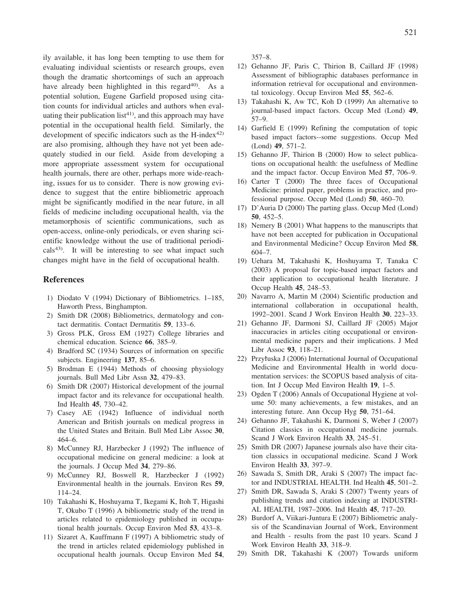ily available, it has long been tempting to use them for evaluating individual scientists or research groups, even though the dramatic shortcomings of such an approach have already been highlighted in this regard $40$ . As a potential solution, Eugene Garfield proposed using citation counts for individual articles and authors when evaluating their publication list<sup>41</sup>), and this approach may have potential in the occupational health field. Similarly, the development of specific indicators such as the  $H$ -index<sup>42)</sup> are also promising, although they have not yet been adequately studied in our field. Aside from developing a more appropriate assessment system for occupational health journals, there are other, perhaps more wide-reaching, issues for us to consider. There is now growing evidence to suggest that the entire bibliometric approach might be significantly modified in the near future, in all fields of medicine including occupational health, via the metamorphosis of scientific communications, such as open-access, online-only periodicals, or even sharing scientific knowledge without the use of traditional periodi- $\text{cals}^{43}$ . It will be interesting to see what impact such changes might have in the field of occupational health.

## **References**

- 1) Diodato V (1994) Dictionary of Bibliometrics. 1–185, Haworth Press, Binghampton.
- 2) Smith DR (2008) Bibliometrics, dermatology and contact dermatitis. Contact Dermatitis **59**, 133–6.
- 3) Gross PLK, Gross EM (1927) College libraries and chemical education. Science **66**, 385–9.
- 4) Bradford SC (1934) Sources of information on specific subjects. Engineering **137**, 85–6.
- 5) Brodman E (1944) Methods of choosing physiology journals. Bull Med Libr Assn **32**, 479–83.
- 6) Smith DR (2007) Historical development of the journal impact factor and its relevance for occupational health. Ind Health **45**, 730–42.
- 7) Casey AE (1942) Influence of individual north American and British journals on medical progress in the United States and Britain. Bull Med Libr Assoc **30**, 464–6.
- 8) McCunney RJ, Harzbecker J (1992) The influence of occupational medicine on general medicine: a look at the journals. J Occup Med **34**, 279–86.
- 9) McCunney RJ, Boswell R, Harzbecker J (1992) Environmental health in the journals. Environ Res **59**, 114–24.
- 10) Takahashi K, Hoshuyama T, Ikegami K, Itoh T, Higashi T, Okubo T (1996) A bibliometric study of the trend in articles related to epidemiology published in occupational health journals. Occup Environ Med **53**, 433–8.
- 11) Sizaret A, Kauffmann F (1997) A bibliometric study of the trend in articles related epidemiology published in occupational health journals. Occup Environ Med **54**,

357–8.

- 12) Gehanno JF, Paris C, Thirion B, Caillard JF (1998) Assessment of bibliographic databases performance in information retrieval for occupational and environmental toxicology. Occup Environ Med **55**, 562–6.
- 13) Takahashi K, Aw TC, Koh D (1999) An alternative to journal-based impact factors. Occup Med (Lond) **49**, 57–9.
- 14) Garfield E (1999) Refining the computation of topic based impact factors--some suggestions. Occup Med (Lond) **49**, 571–2.
- 15) Gehanno JF, Thirion B (2000) How to select publications on occupational health: the usefulness of Medline and the impact factor. Occup Environ Med **57**, 706–9.
- 16) Carter T (2000) The three faces of Occupational Medicine: printed paper, problems in practice, and professional purpose. Occup Med (Lond) **50**, 460–70.
- 17) D'Auria D (2000) The parting glass. Occup Med (Lond) **50**, 452–5.
- 18) Nemery B (2001) What happens to the manuscripts that have not been accepted for publication in Occupational and Environmental Medicine? Occup Environ Med **58**, 604–7.
- 19) Uehara M, Takahashi K, Hoshuyama T, Tanaka C (2003) A proposal for topic-based impact factors and their application to occupational health literature. J Occup Health **45**, 248–53.
- 20) Navarro A, Martin M (2004) Scientific production and international collaboration in occupational health, 1992–2001. Scand J Work Environ Health **30**, 223–33.
- 21) Gehanno JF, Darmoni SJ, Caillard JF (2005) Major inaccuracies in articles citing occupational or environmental medicine papers and their implications. J Med Libr Assoc **93**, 118–21.
- 22) Przyłuska J (2006) International Journal of Occupational Medicine and Environmental Health in world documentation services: the SCOPUS based analysis of citation. Int J Occup Med Environ Health **19**, 1–5.
- 23) Ogden T (2006) Annals of Occupational Hygiene at volume 50: many achievements, a few mistakes, and an interesting future. Ann Occup Hyg **50**, 751–64.
- 24) Gehanno JF, Takahashi K, Darmoni S, Weber J (2007) Citation classics in occupational medicine journals. Scand J Work Environ Health **33**, 245–51.
- 25) Smith DR (2007) Japanese journals also have their citation classics in occupational medicine. Scand J Work Environ Health **33**, 397–9.
- 26) Sawada S, Smith DR, Araki S (2007) The impact factor and INDUSTRIAL HEALTH. Ind Health **45**, 501–2.
- 27) Smith DR, Sawada S, Araki S (2007) Twenty years of publishing trends and citation indexing at INDUSTRI-AL HEALTH, 1987–2006. Ind Health **45**, 717–20.
- 28) Burdorf A, Viikari-Juntura E (2007) Bibliometric analysis of the Scandinavian Journal of Work, Environment and Health - results from the past 10 years. Scand J Work Environ Health **33**, 318–9.
- 29) Smith DR, Takahashi K (2007) Towards uniform